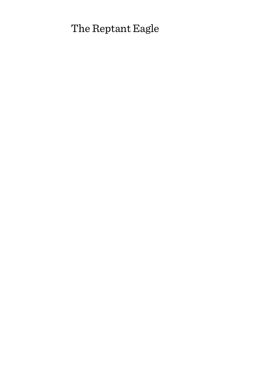# The Reptant Eagle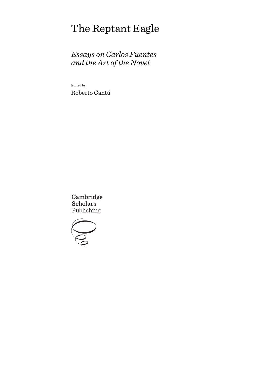# The Reptant Eagle

## *Essays on Carlos Fuentes and the Art of the Novel*

Edited by

Roberto Cantú

Cambridge **Scholars** Publishing

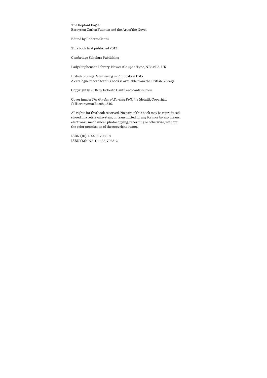The Reptant Eagle: Essays on Carlos Fuentes and the Art of the Novel

Edited by Roberto Cantú

This book first published 2015

Cambridge Scholars Publishing

Lady Stephenson Library, Newcastle upon Tyne, NE6 2PA, UK

British Library Cataloguing in Publication Data A catalogue record for this book is available from the British Library

Copyright © 2015 by Roberto Cantú and contributors

Cover image: *The Garden of Earthly Delights* (detail), Copyright © Hieronymus Bosch, 1510.

All rights for this book reserved. No part of this book may be reproduced, stored in a retrieval system, or transmitted, in any form or by any means, electronic, mechanical, photocopying, recording or otherwise, without the prior permission of the copyright owner.

ISBN (10): 1-4438-7083-8 ISBN (13): 978-1-4438-7083-2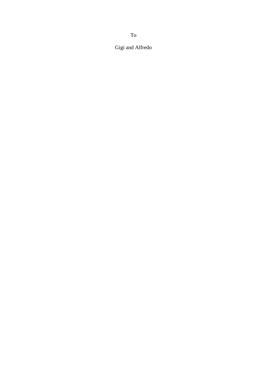To

Gigi and Alfredo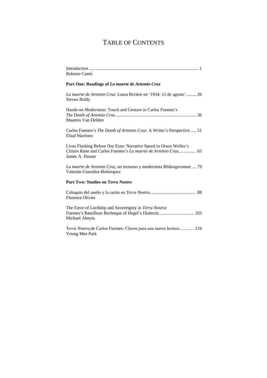# TABLE OF CONTENTS

| Roberto Cantú                                                                                                                                          |
|--------------------------------------------------------------------------------------------------------------------------------------------------------|
| Part One: Readings of La muerte de Artemio Cruz                                                                                                        |
| La muerte de Artemio Cruz: Laura Rivière en '1934: 12 de agosto' 26<br><b>Steven Boldy</b>                                                             |
| Hands-on Modernism: Touch and Gesture in Carlos Fuentes's<br>Maarten Van Delden                                                                        |
| Carlos Fuentes's The Death of Artemio Cruz: A Writer's Perspective  51<br>Eliud Martínez                                                               |
| Lives Flashing Before Our Eyes: Narrative Speed in Orson Welles's<br>Citizen Kane and Carlos Fuentes's La muerte de Artemio Cruz 65<br>James A. Hussar |
| La muerte de Artemio Cruz, un tortuoso y modernista Bildungsroman  79<br>Valentín González-Bohórquez                                                   |
| <b>Part Two: Studies on Terra Nostra</b>                                                                                                               |
| <b>Florence Olivier</b>                                                                                                                                |
| The Farce of Lordship and Sovereignty in Terra Nostra:<br>Fuentes's Bataillean Burlesque of Hegel's Dialectic 103<br>Michael Abeyta                    |
| Terra Nostra, de Carlos Fuentes: Claves para una nueva lectura 124<br>Young Mee Park                                                                   |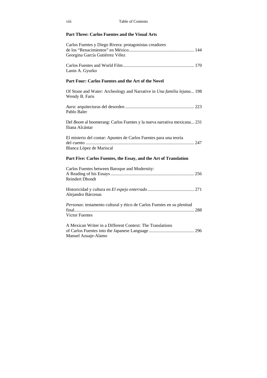### **Part Three: Carlos Fuentes and the Visual Arts**

| Carlos Fuentes y Diego Rivera: protagonistas creadores<br>Georgina García Gutiérrez Vélez     |
|-----------------------------------------------------------------------------------------------|
| Lanin A. Gyurko                                                                               |
| Part Four: Carlos Fuentes and the Art of the Novel                                            |
| Of Stone and Water: Archeology and Narrative in Una familia lejana 198<br>Wendy B. Faris      |
| Pablo Baler                                                                                   |
| Del Boom al boomerang: Carlos Fuentes y la nueva narrativa mexicana 231<br>Iliana Alcántar    |
| El misterio del contar: Apuntes de Carlos Fuentes para una teoría<br>Blanca López de Mariscal |
| Part Five: Carlos Fuentes, the Essay, and the Art of Translation                              |
| Carlos Fuentes between Baroque and Modernity:<br><b>Reindert Dhondt</b>                       |
| Alejandro Bárcenas                                                                            |
| Personas: testamento cultural y ético de Carlos Fuentes en su plenitud<br>Víctor Fuentes      |
| A Mexican Writer in a Different Context: The Translations<br>Manuel Azuaje-Alamo              |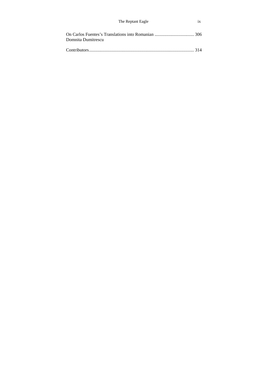| Domnita Dumitrescu |  |
|--------------------|--|
|                    |  |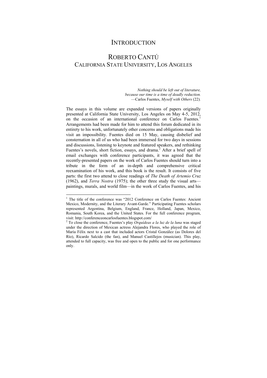### **INTRODUCTION**

## ROBERTO CANTÚ CALIFORNIA STATE UNIVERSITY, LOS ANGELES

*Nothing should be left out of literature, because our time is a time of deadly reduction.*  —Carlos Fuentes, *Myself with Others* (22)*.* 

The essays in this volume are expanded versions of papers originally presented at California State University, Los Angeles on May 4-5, 2012, on the occasion of an international conference on Carlos Fuentes.<sup>1</sup> Arrangements had been made for him to attend this forum dedicated in its entirety to his work, unfortunately other concerns and obligations made his visit an impossibility. Fuentes died on 15 May, causing disbelief and consternation in all of us who had been immersed for two days in sessions and discussions, listening to keynote and featured speakers, and rethinking Fuentes's novels, short fiction, essays, and drama.<sup>2</sup> After a brief spell of email exchanges with conference participants, it was agreed that the recently-presented papers on the work of Carlos Fuentes should turn into a tribute in the form of an in-depth and comprehensive critical reexamination of his work, and this book is the result. It consists of five parts: the first two attend to close readings of *The Death of Artemio Cruz* (1962), and *Terra Nostra* (1975); the other three study the visual arts paintings, murals, and world film—in the work of Carlos Fuentes, and his

 1 The title of the conference was "2012 Conference on Carlos Fuentes: Ancient Mexico, Modernity, and the Literary Avant-Garde." Participating Fuentes scholars represented Argentina, Belgium, England, France, Holland, Japan, Mexico, Romania, South Korea, and the United States. For the full conference program, visit: http://conferenceoncarlosfuentes.blogspot.com/

<sup>2</sup> To close the conference, Fuentes's play *Orquídeas a la luz de la luna* was staged under the direction of Mexican actress Alejandra Flores, who played the role of María Félix next to a cast that included actors Cristal González (as Dolores del Río), Ricardo Salcido (the fan), and Manuel Castillejos (musician). This play, attended to full capacity, was free and open to the public and for one performance only.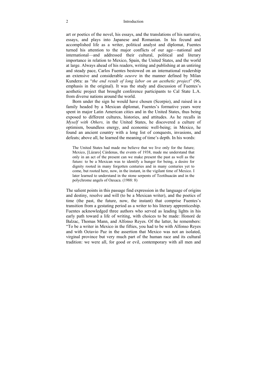art or poetics of the novel, his essays, and the translations of his narrative, essays, and plays into Japanese and Romanian. In his fecund and accomplished life as a writer, political analyst and diplomat, Fuentes turned his attention to the major conflicts of our age—national and international—and addressed their cultural, political and literary importance in relation to Mexico, Spain, the United States, and the world at large. Always ahead of his readers, writing and publishing at an untiring and steady pace, Carlos Fuentes bestowed on an international readership an extensive and considerable *oeuvre* in the manner defined by Milan Kundera: as "*the end result of long labor on an aesthetic project*" (96, emphasis in the original). It was the study and discussion of Fuentes's aesthetic project that brought conference participants to Cal State L.A. from diverse nations around the world.

Born under the sign he would have chosen (Scorpio), and raised in a family headed by a Mexican diplomat, Fuentes's formative years were spent in major Latin American cities and in the United States, thus being exposed to different cultures, histories, and attitudes. As he recalls in *Myself with Others,* in the United States, he discovered a culture of optimism, boundless energy, and economic well-being; in Mexico, he found an ancient country with a long list of conquests, invasions, and defeats; above all, he learned the meaning of time's depth. In his words:

The United States had made me believe that we live only for the future; Mexico, [Lázaro] Cárdenas, the events of 1938, made me understand that only in an act of the present can we make present the past as well as the future: to be a Mexican was to identify a hunger for being, a desire for dignity rooted in many forgotten centuries and in many centuries yet to come, but rooted here, now, in the instant, in the vigilant time of Mexico. I later learned to understand in the stone serpents of Teotihuacán and in the polychrome angels of Oaxaca. (1988: 8)

The salient points in this passage find expression in the language of origins and destiny, resolve and will (to be a Mexican writer), and the poetics of time (the past, the future, now, the instant) that comprise Fuentes's transition from a gestating period as a writer to his literary apprenticeship. Fuentes acknowledged three authors who served as leading lights in his early path toward a life of writing, with choices to be made: Honoré de Balzac, Thomas Mann, and Alfonso Reyes. Of the latter, he remembers: "To be a writer in Mexico in the fifties, you had to be with Alfonso Reyes and with Octavio Paz in the assertion that Mexico was not an isolated, virginal province but very much part of the human race and its cultural tradition: we were all, for good or evil, contemporary with all men and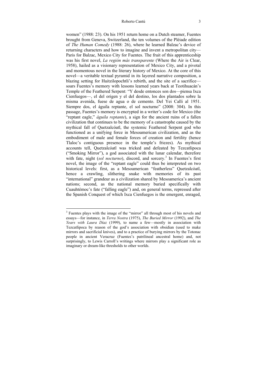women" (1988: 23). On his 1951 return home on a Dutch steamer, Fuentes brought from Geneva, Switzerland, the ten volumes of the Pléiade edition of *The Human Comedy* (1988: 26), where he learned Balzac's device of returning characters and how to imagine and invent a metropolitan city— Paris for Balzac, Mexico City for Fuentes. The fruit of this apprenticeship was his first novel, *La región más transparente* (Where the Air is Clear, 1958), hailed as a visionary representation of Mexico City, and a pivotal and momentous novel in the literary history of Mexico. At the core of this novel—a veritable textual pyramid in its layered narrative composition, a blazing setting for Huitzilopochtli's rebirth, and the site of a sacrifice soars Fuentes's memory with lessons learned years back at Teotihuacán's Temple of the Feathered Serpent: "Y desde entonces son dos—piensa Ixca Cienfuegos—, el del origen y el del destino, los dos plantados sobre la misma avenida, fuese de agua o de cemento. Del Yei Calli al 1951. Siempre dos, el águila reptante, el sol nocturno" (2008: 304). In this passage, Fuentes's memory is encrypted in a writer's code for Mexico (the "reptant eagle," *águila reptante*), a sign for the ancient ruins of a fallen civilization that continues to be the memory of a catastrophe caused by the mythical fall of Quetzalcóatl, the systemic Feathered Serpent god who functioned as a unifying force in Mesoamerican civilization, and as the embodiment of male and female forces of creation and fertility (hence Tlaloc's contiguous presence in the temple's friezes). As mythical accounts tell, Quetzalcóatl was tricked and defeated by Tezcatlipoca ("Smoking Mirror"), a god associated with the lunar calendar, therefore with fate, night (sol nocturno), discord, and sorcery.<sup>3</sup> In Fuentes's first novel, the image of the "reptant eagle" could thus be interpreted on two historical levels: first, as a Mesoamerican "featherless" Quetzalcóatl, hence a crawling, slithering snake with memories of its past "international" grandeur as a civilization shared by Mesoamerica's ancient nations; second, as the national memory buried specifically with Cuauhtémoc's fate ("falling eagle") and, on general terms, repressed after the Spanish Conquest of which Ixca Cienfuegos is the emergent, enraged,

<sup>&</sup>lt;sup>3</sup> Fuentes plays with the image of the "mirror" all through most of his novels and essays—for instance, in *Terra Nostra* (1975), *The Buried Mirror* (1992), and *The Years with Laura Díaz* (1999), to name a few—mostly in association with Tezcatlipoca by reason of the god's association with obsidian (used to make mirrors and sacrificial knives), and to a practice of burying mirrors by the Totonac people in ancient Veracruz (Fuentes's patrilineal ancestral home) and, not surprisingly, to Lewis Carroll's writings where mirrors play a significant role as imaginary or dream-like thresholds to other worlds.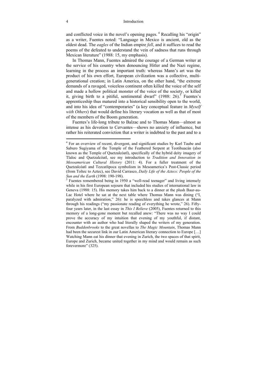and conflicted voice in the novel's opening pages. 4 Recalling his "origin" as a writer, Fuentes noted: "Language in Mexico is ancient, old as the oldest dead. The *eagles* of the Indian empire *fell*, and it suffices to read the poems of the defeated to understand the vein of sadness that runs through Mexican literature" (1988: 15, my emphasis).

In Thomas Mann, Fuentes admired the courage of a German writer at the service of his country when denouncing Hitler and the Nazi regime, learning in the process an important truth: whereas Mann's art was the product of his own effort, European civilization was a collective, multigenerational creation; in Latin America, on the other hand, "the extreme demands of a ravaged, voiceless continent often killed the voice of the self and made a hollow political monster of the voice of the society, or killed it, giving birth to a pitiful, sentimental dwarf"  $(1988: 26)^5$  Fuentes's apprenticeship thus matured into a historical sensibility open to the world, and into his idea of "contemporaries" (a key conceptual feature in *Myself with Others*) that would define his literary vocation as well as that of most of the members of the Boom generation.

Fuentes's life-long tribute to Balzac and to Thomas Mann—almost as intense as his devotion to Cervantes—shows no anxiety of influence, but rather his reiterated conviction that a writer is indebted to the past and to a

 $\overline{a}$ 

<sup>&</sup>lt;sup>4</sup> For an overview of recent, divergent, and significant studies by Karl Taube and Saburo Sugiyama of the Temple of the Feathered Serpent at Teotihuacán (also known as the Temple of Quetzalcóatl), specifically of the hybrid deity imagery of Tlaloc and Quetzalcóatl, see my introduction to *Tradition and Innovation in Mesoamerican Cultural History* (2011: 4). For a fuller treatment of the Quetzalcóatl and Tezcatlipoca symbolism in Mesoamerica's Post-Classic period (from Toltec to Aztec), see David Carrasco, *Daily Life of the Aztecs: People of the Sun and the Earth* (1998: 190-198).

 $5$  Fuentes remembered being in 1950 a "well-read teenager" and living intensely while in his first European sojourn that included his studies of international law in Geneva (1988: 15). His memory takes him back to a dinner at the plush Baur-au-Lac Hotel where he sat at the next table where Thomas Mann was dining ("I, paralyzed with admiration," 26): he is speechless and takes glances at Mann through his readings ("my passionate reading of everything he wrote," 26). Fiftyfour years later, in the last essay in *This I Believe* (2005), Fuentes returned to this memory of a long-gone moment but recalled anew: "There was no way I could prove the accuracy of my intuition that evening of my youthful, if distant, encounter with an author who had literally shaped the writers of my generation. From *Buddenbrooks* to the great novellas to *The Magic Mountain*, Thomas Mann had been the securest link in our Latin American literary connection to Europe [...] Watching Mann eat his dinner that evening in Zurich, the two spaces of that spirit, Europe and Zurich, became united together in my mind and would remain as such forevermore" (325).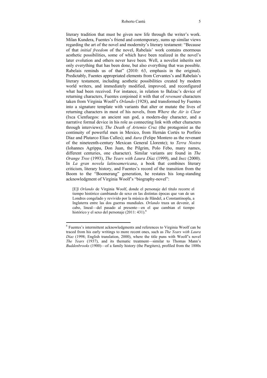literary tradition that must be given new life through the writer's work. Milan Kundera, Fuentes's friend and contemporary, sums up similar views regarding the art of the novel and modernity's literary testament: "Because of that *initial freedom* of the novel, Rabelais' work contains enormous aesthetic possibilities, some of which have been realized in the novel's later evolution and others never have been. Well, a novelist inherits not only everything that has been done, but also everything that was possible. Rabelais reminds us of that" (2010: 63, emphasis in the original). Predictably, Fuentes appropriated elements from Cervantes's and Rabelais's literary testament, including aesthetic possibilities created by modern world writers, and immediately modified, improved, and reconfigured what had been received. For instance, in relation to Balzac's device of returning characters, Fuentes conjoined it with that of *revenant* characters taken from Virginia Woolf's *Orlando* (1928), and transformed by Fuentes into a signature template with variants that alter or mutate the lives of returning characters in most of his novels, from *Where the Air is Clear* (Ixca Cienfuegos: an ancient sun god, a modern-day character, and a narrative formal device in his role as connecting link with other characters through interviews); *The Death of Artemio Cruz* (the protagonist as the continuity of powerful men in Mexico, from Hernán Cortés to Porfirio Díaz and Plutarco Elías Calles); and *Aura* (Felipe Montero as the revenant of the nineteenth-century Mexican General Llorente); to *Terra Nostra*  (Iohannes Agrippa, Don Juan, the Pilgrim, Polo Febo, many names, different centuries, one character). Similar variants are found in *The Orange Tree* (1993), *The Years with Laura Díaz* (1999), and *Inez* (2000). In *La gran novela latinoamericana*, a book that combines literary criticism, literary history, and Fuentes's record of the transition from the Boom to the "Boomerang" generation, he restates his long-standing acknowledgment of Virginia Woolf's "biography-novel":

[E]l *Orlando* de Virginia Woolf, donde el personaje del título recorre el tiempo histórico cambiando de sexo en las distintas épocas que van de un Londres congelado y revivido por la música de Händel, a Constantinopla, a Inglaterra entre las dos guerras mundiales. *Orlando* traza un devenir, al cabo, lineal—del pasado al presente—en el que cambian el tiempo histórico y el sexo del personaje  $(2011: 431)$ .<sup>6</sup>

 $\overline{a}$ 

<sup>&</sup>lt;sup>6</sup> Fuentes's intermittent acknowledgments and references to Virginia Woolf can be traced from his early writings to more recent ones, such as *The Years with Laura Díaz* (1998; English translation, 2000), where the title puns with Woolf's novel *The Years* (1937), and its thematic treatment—similar to Thomas Mann's *Buddenbrooks* (1900)—of a family history (the Pargiters), profiled from the 1880s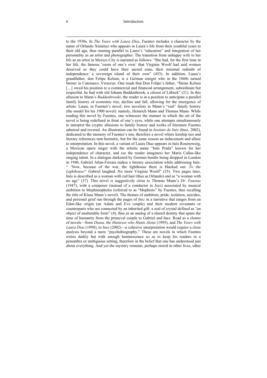to the 1930s. In *The Years with Laura Díaz*, Fuentes includes a character by the name of Orlando Ximénez who appears in Laura's life from their youthful years to their old age, thus running parallel to Laura's "education" and integration of her personality as an artist and photographer. The transition from unhappy wife to her life as an artist in Mexico City is narrated as follows: "She had, for the first time in her life, the famous 'room of one's own' that Virginia Woolf had said women deserved so they could have their sacred zone, their minimal redoubt of independence: a sovereign island of their own" (453). In addition, Laura's grandfather, don Felipe Kelsen, is a German emigré who in the 1860s turned farmer in Catemaco, Veracruz. One reads that Don Felipe's father, "Heine Kelsen […[ owed his position to a commercial and financial arrangement, subordinate but respectful, he had with old Johann Buddenbrook, a citizen of Lübeck" (21). In this allusion to Mann's *Buddenbrooks*, the reader is in a position to anticipate a parallel family history of economic rise, decline and fall, allowing for the emergence of artists: Laura, in Fuentes's novel; two novelists in Mann's "real" family history (the model for his 1900 novel): namely, Heinrich Mann and Thomas Mann. While reading this novel by Fuentes, one witnesses the manner in which the art of the novel is being redefined in front of one's eyes, while one attempts simultaneously to interpret the cryptic allusions to family history and works of literature Fuentes admired and revered. An illustration can be found in *Instinto de Inés* (Inez, 2002), dedicated to the memory of Fuentes's son, therefore a novel where kinship ties and literary references turn hermetic, but for the same reason an inducement and allure to interpretation. In this novel, a variant of Laura Díaz appears in Inés Rosenzweig, a Mexican opera singer with the artistic name "Inés Prada" known for her independence of character, and (so the reader imagines) her María Callas-like singing talent. In a dialogue darkened by German bombs being dropped in London in 1940, Gabriel Atlan-Ferrara makes a literary association while addressing Inés: " 'Now, because of the war, the lighthouse there is blacked out. *To the Lighthouse!*' Gabriel laughed. No more Virginia Woolf" (35). Two pages later, Inés is described as a woman with red hair (thus as Orlando) and as "a woman with no age" (37). This novel is suggestively close to Thomas Mann's *Dr. Faustus* (1947), with a composer (instead of a conductor in *Inez*) associated by musical ambition to Mephistopheles (referred to as "Mephisto" by Fuentes, thus recalling the title of Klaus Mann's novel). The themes of ambition, pride, isolation, suicides, and personal grief run through the pages of *Inez* in a narrative that ranges from an Eden-like origin (an Adam and Eve couple) and their modern revenants or counterparts who are connected by an inherited gift: a seal of crystal defined as "an object of unalterable form" (4), thus as an analog of a shared destiny that spans the time of humanity from the primeval couple to Gabriel and Inez. Read as a cluster of novels—from *Diana, the Huntress who Hunts Alone* (1995), and *The Years with Laura Díaz* (1998), to *Inez* (2002)—a cohesive interpretation would require a close analysis beyond a mere "psychobiography." These are novels in which Fuentes writes darkly but with enough luminescence so as to keep his readers in a penumbra or ambiguous setting, therefore in the belief that one has understood just about everything. And yet the mystery remains, perhaps stored in other lives, other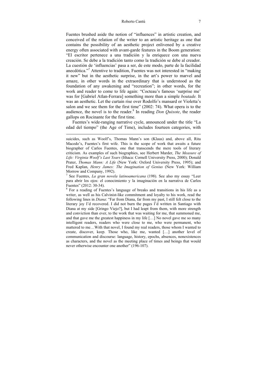Fuentes brushed aside the notion of "influences" in artistic creation, and conceived of the relation of the writer to an artistic heritage as one that contains the possibility of an aesthetic project enlivened by a creative energy often associated with avant-garde features in the Boom generation: "El escritor pertenece a una tradición y la enriquece con una nueva creación. Se debe a la tradición tanto como la tradición se debe al creador. La cuestión de 'influencias' pasa a ser, de este modo, parte de la facilidad anecdótica."<sup>7</sup> Attentive to tradition, Fuentes was not interested in "making it new" but in the aesthetic surprise, in the art's power to marvel and amaze, in other words in the extraordinary that is understood as the foundation of any awakening and "recreation"; in other words, for the work and reader to come to life again: "Cocteau's famous 'surprise me' was for [Gabriel Atlan-Ferrara] something more than a simple *boutade.* It was an aesthetic. Let the curtain rise over Rodolfo's mansard or Violetta's salon and we see them for the first time" (2002: 74). What opera is to the audience, the novel is to the reader.<sup>8</sup> In reading *Don Quixote*, the reader gallops on Rocinante for the first time.

Fuentes's wide-ranging narrative cycle, announced under the title "La edad del tiempo" (the Age of Time), includes fourteen categories, with

suicides, such as Woolf's, Thomas Mann's son (Klaus) and, above all, Rita Macedo's, Fuentes's first wife. This is the scope of work that awaits a future biographer of Carlos Fuentes, one that transcends the mere tools of literary criticism. As examples of such biographies, see Herbert Marder, *The Measure of Life: Virginia Woolf's Last Years* (Ithaca: Cornell University Press, 2000); Donald Prater, *Thomas Mann: A Life* (New York: Oxford University Press, 1995); and Fred Kaplan, *Henry James: The Imagination of Genius* (New York: William Morrow and Company, 1992).

<sup>7</sup> See Fuentes, *La gran novela latinoamericana* (198). See also my essay "Leer para abrir los ojos: el conocimiento y la imaginación en la narrativa de Carlos Fuentes" (2012: 30-34).

<sup>8</sup> For a reading of Fuentes's language of breaks and transitions in his life as a writer, as well as his Calvinist-like commitment and loyalty to his work, read the following lines in *Diana*: "Far from Diana, far from my past, I still felt close to the literary joy I'd recovered. I did not burn the pages I'd written in Santiago with Diana at my side [Gringo Viejo?], but I had leapt from them, with more strength and conviction than ever, to the work that was waiting for me, that summoned me, and that gave me the greatest happiness in my life […] No novel gave me so many intelligent readers, readers who were close to me, who were permanent, who mattered to me…With that novel, I found my real readers, those whom I wanted to create, discover, keep. Those who, like me, wanted […] another level of communication and discourse: language, history, epochs, absences, nonexistences as characters, and the novel as the meeting place of times and beings that would never otherwise encounter one another" (196-107).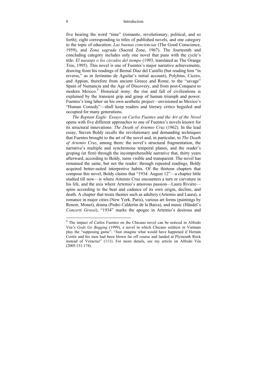five bearing the word "time" (romantic, revolutionary, political, and so forth); eight corresponding to titles of published novels, and one category to the topic of education: *Las buenas conciencias* (The Good Conscience, 1959), and *Zona sagrada* (Sacred Zone, 1967). The fourteenth and concluding category includes only one novel that puns with the cycle's title: *El naranjo o los círculos del tiempo* (1993, translated as The Orange Tree, 1995). This novel is one of Fuentes's major narrative achievements, drawing from his readings of Bernal Díaz del Castillo (but reading him "in reverse," as in Jerónimo de Aguilar's initial account), Polybius, Cicero, and Appian, therefore from ancient Greece and Rome, to the "savage" Spain of Numancia and the Age of Discovery, and from post-Conquest to modern Mexico.<sup>9</sup> Historical irony: the rise and fall of civilizations is explained by the transient grip and grasp of human triumph and power. Fuentes's long labor on his own aesthetic project—envisioned as Mexico's "Human Comedy"—shall keep readers and literary critics beguiled and occupied for many generations.

*The Reptant Eagle: Essays on Carlos Fuentes and the Art of the Novel* opens with five different approaches to one of Fuentes's novels known for its structural innovations: *The Death of Artemio Cruz* (1962). In the lead essay, Steven Boldy recalls the revolutionary and demanding techniques that Fuentes brought to the art of the novel and, in particular, to *The Death of Artemio Cruz*, among them: the novel's structural fragmentation, the narrative's multiple and synchronous temporal planes, and the reader's groping (at first) through the incomprehensible narrative that, thirty years afterward, according to Boldy, turns visible and transparent. The novel has remained the same, but not the reader: through repeated readings, Boldy acquired better-suited interpretive habits. Of the thirteen chapters that compose this novel, Boldy claims that "1934: August 12"—a chapter little studied till now—is where Artemio Cruz encounters a turn or curvature in his life, and the axis where Artemio's amorous passion—Laura Rivière spins according to the beat and cadence of its own origin, decline, and death. A chapter that treats themes such as adultery (Artemio and Laura), a romance in major cities (New York, Paris), various art forms (paintings by Renoir, Monet), drama (Pedro Calderόn de la Barca), and music (Händel's *Concerti Grossi*), "1934" marks the apogee in Artemio's desirous and

<sup>&</sup>lt;sup>9</sup> The impact of Carlos Fuentes on the Chicano novel can be noticed in Alfredo Véa's *Gods Go Begging* (1999), a novel in which Chicano soldiers in Vietnam play the "supposing game": "Just imagine what would have happened if Hernán Cortés and his men had been blown far off course and landed at Plymouth Rock instead of Veracruz" (113). For more details, see my article on Alfredo Véa (2005:151-174).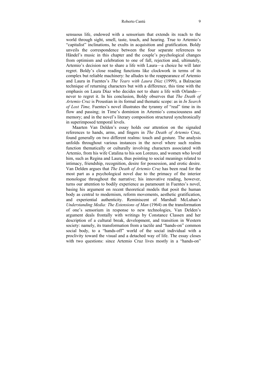sensuous life, endowed with a sensorium that extends its reach to the world through sight, smell, taste, touch, and hearing. True to Artemio's "capitalist" inclinations, he exults in acquisition and gratification. Boldy unveils the correspondence between the four separate references to Händel's music in this chapter and the couple's psychological changes from optimism and celebration to one of fall, rejection and, ultimately, Artemio's decision not to share a life with Laura—a choice he will later regret. Boldy's close reading functions like clockwork in terms of its complex but reliable machinery: he alludes to the reappearance of Artemio and Laura in Fuentes's *The Years with Laura Díaz* (1999), a Balzacian technique of returning characters but with a difference, this time with the emphasis on Laura Díaz who decides not to share a life with Orlando never to regret it. In his conclusion, Boldy observes that *The Death of Artemio Cruz* is Proustian in its formal and thematic scope: as in *In Search of Lost Time,* Fuentes's novel illustrates the tyranny of "real" time in its flow and passing; in Time's dominion in Artemio's consciousness and memory; and in the novel's literary composition structured synchronically in superimposed temporal levels.

Maarten Van Delden's essay holds our attention on the signaled references to hands, arms, and fingers in *The Death of Artemio* Cruz, found generally on two different realms: touch and gesture. The analysis unfolds throughout various instances in the novel where such realms function thematically or culturally involving characters associated with Artemio, from his wife Catalina to his son Lorenzo, and women who loved him, such as Regina and Laura, thus pointing to social meanings related to intimacy, friendship, recognition, desire for possession, and erotic desire. Van Delden argues that *The Death of Artemio Cruz* has been read for the most part as a psychological novel due to the primacy of the interior monologue throughout the narrative; his innovative reading, however, turns our attention to bodily experience as paramount in Fuentes's novel, basing his argument on recent theoretical models that posit the human body as central to modernism, reform movements, aesthetic gratification, and experiential authenticity. Reminiscent of Marshall McLuhan's *Understanding Media: The Extensions of Man* (1964) on the transformation of one's sensorium in response to new technologies, Van Delden's argument deals frontally with writings by Constance Classen and her description of a cultural break, development, and transition in Western society: namely, its transformation from a tactile and "hands-on" common social body, to a "hands-off" world of the social individual with a proclivity toward the visual and a detached way of life. The essay closes with two questions: since Artemio Cruz lives mostly in a "hands-on"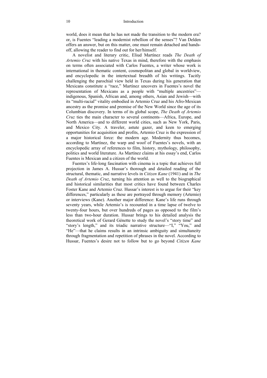world, does it mean that he has not made the transition to the modern era? or, is Fuentes "leading a modernist rebellion of the senses"? Van Delden offers an answer, but on this matter, one must remain detached and handsoff, allowing the reader to find out for her/himself.

A novelist and literary critic, Eliud Martínez reads *The Death of Artemio Cruz* with his native Texas in mind, therefore with the emphasis on terms often associated with Carlos Fuentes, a writer whose work is international in thematic content, cosmopolitan and global in worldview, and encyclopedic in the intertextual breadth of his writings. Tacitly challenging the parochial view held in Texas during his generation that Mexicans constitute a "race," Martínez uncovers in Fuentes's novel the representation of Mexicans as a people with "multiple ancestries" indigenous, Spanish, African and, among others, Asian and Jewish—with its "multi-racial" vitality embodied in Artemio Cruz and his Afro-Mexican ancestry as the promise and premise of the New World since the age of its Columbian discovery. In terms of its global scope, *The Death of Artemio Cruz* ties the main character to several continents—Africa, Europe, and North America—and to different world cities, such as New York, Paris, and Mexico City. A traveler, astute gazer, and keen to emerging opportunities for acquisition and profits, Artemio Cruz is the expression of a major historical force: the modern age. Modernity thus becomes, according to Martínez, the warp and woof of Fuentes's novels, with an encyclopedic array of references to film, history, mythology, philosophy, politics and world literature. As Martínez claims at his essay's end, Carlos Fuentes is Mexican and a citizen of the world.

Fuentes's life-long fascination with cinema is a topic that achieves full projection in James A. Hussar's thorough and detailed reading of the structural, thematic, and narrative levels in *Citizen Kane* (1941) and in *The Death of Artemio Cruz*, turning his attention as well to the biographical and historical similarities that most critics have found between Charles Foster Kane and Artemio Cruz*.* Hussar's interest is to argue for their "key differences," particularly as these are portrayed through memory (Artemio) or interviews (Kane). Another major difference: Kane's life runs through seventy years, while Artemio's is recounted in a time lapse of twelve to twenty-four hours, but over hundreds of pages as opposed to the film's less than two-hour duration. Hussar brings to his detailed analysis the theoretical work of Gerard Génette to study the novel's "story time" and "story's length," and its triadic narrative structure—"I," "You," and "He"—that he claims results in an intrinsic ambiguity and simultaneity through fragmentation and repetition of phrases in the novel. According to Hussar, Fuentes's desire not to follow but to go beyond *Citizen Kane*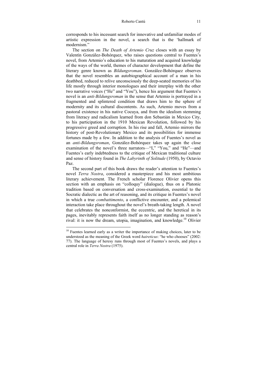corresponds to his incessant search for innovative and unfamiliar modes of artistic expression in the novel, a search that is the 'hallmark of modernism."

The section on *The Death of Artemio Cruz* closes with an essay by Valentín González-Bohόrquez, who raises questions central to Fuentes's novel, from Artemio's education to his maturation and acquired knowledge of the ways of the world, themes of character development that define the literary genre known as *Bildungsroman*. González-Bohόrquez observes that the novel resembles an autobiographical account of a man in his deathbed, reduced to relive unconsciously the deep-seated memories of his life mostly through interior monologues and their interplay with the other two narrative voices ("He" and "You"), hence his argument that Fuentes's novel is an *anti-Bildungsroman* in the sense that Artemio is portrayed in a fragmented and splintered condition that draws him to the sphere of modernity and its cultural discontents. As such, Artemio moves from a pastoral existence in his native Cocuya, and from the idealism stemming from literacy and radicalism learned from don Sebastián in Mexico City, to his participation in the 1910 Mexican Revolution, followed by his progressive greed and corruption. In his rise and fall, Artemio mirrors the history of post-Revolutionary Mexico and its possibilities for immense fortunes made by a few. In addition to the analysis of Fuentes's novel as an *anti-Bildungsroman*, González-Bohόrquez takes up again the close examination of the novel's three narrators—"I," "You," and "He"—and Fuentes's early indebtedness to the critique of Mexican traditional culture and sense of history found in *The Labyrinth of Solitude* (1950), by Octavio Paz.

The second part of this book draws the reader's attention to Fuentes's novel *Terra Nostra*, considered a masterpiece and his most ambitious literary achievement. The French scholar Florence Olivier opens this section with an emphasis on "colloquy" (dialogue), thus on a Platonic tradition based on conversation and cross-examination, essential to the Socratic dialectic as the art of reasoning, and its critique in Fuentes's novel in which a true *combattimento*, a conflictive encounter, and a polemical interaction take place throughout the novel's breath-taking length. A novel that celebrates the nonconformist, the eccentric, and the heretical in its pages, inevitably represents faith itself as no longer standing as reason's rival: it is now the dream, utopia, imagination, and knowledge.10 Olivier

 $\overline{a}$ 

 $10$  Fuentes learned early as a writer the importance of making choices, later to be understood as the meaning of the Greek word *haireticus*: "he who chooses" (2002: 77). The language of heresy runs through most of Fuentes's novels, and plays a central role in *Terra Nostra* (1975).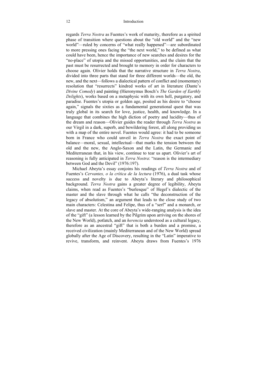regards *Terra Nostra* as Fuentes's work of maturity, therefore as a spirited phase of transition where questions about the "old world" and the "new world"—ruled by concerns of "what really happened"—are subordinated to more pressing ones facing the "the next world," to be defined as what could have been, hence the importance of new searches and desires for the "no-place" of utopia and the missed opportunities, and the claim that the past must be resurrected and brought to memory in order for characters to choose again. Olivier holds that the narrative structure in *Terra Nostra*, divided into three parts that stand for three different worlds—the old, the new, and the next—follows a dialectical pattern of conflict and (momentary) resolution that "resurrects" kindred works of art in literature (Dante's *Divine Comedy*) and painting (Hieronymus Bosch's *The Garden of Earthly Delights*), works based on a metaphysic with its own hell, purgatory, and paradise. Fuentes's utopia or golden age, posited as his desire to "choose again," signals the sixties as a fundamental generational quest that was truly global in its search for love, justice, health, and knowledge. In a language that combines the high diction of poetry and lucidity—thus of the dream and reason—Olivier guides the reader through *Terra Nostra* as our Virgil in a dark, superb, and bewildering forest, all along providing us with a map of the entire novel. Fuentes would agree: it had to be someone born in France who could unveil in *Terra Nostra* the exact point of balance—moral, sexual, intellectual—that marks the tension between the old and the new, the Anglo-Saxon and the Latin, the Germanic and Mediterranean that, in his view, continue to tear us apart. Olivier's art of reasoning is fully anticipated in *Terra Nostra*: "reason is the intermediary between God and the Devil" (1976:197).

Michael Abeyta's essay conjoins his readings of *Terra Nostra* and of Fuentes's *Cervantes, o la crítica de la lectura* (1976), a dual task whose success and novelty is due to Abeyta's literary and philosophical background. *Terra Nostra* gains a greater degree of legibility, Abeyta claims, when read as Fuentes's "burlesque" of Hegel's dialectic of the master and the slave through what he calls "the deconstruction of the legacy of absolutism," an argument that leads to the close study of two main characters: Celestina and Felipe, thus of a "serf" and a monarch, or slave and master. At the core of Abeyta's wide-ranging analysis is the idea of the "gift" (a lesson learned by the Pilgrim upon arriving on the shores of the New World), potlatch, and an *herencia* understood as a cultural legacy, therefore as an ancestral "gift" that is both a burden and a promise, a received civilization (mainly Mediterranean and of the New World) spread globally after the Age of Discovery, resulting in the "Latin" imperative to revive, transform, and reinvent. Abeyta draws from Fuentes's 1976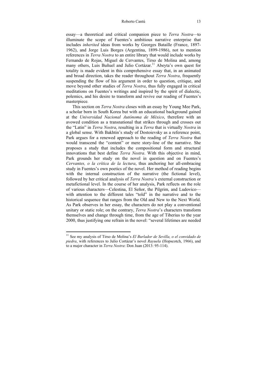essay—a theoretical and critical companion piece to *Terra Nostra—*to illuminate the scope of Fuentes's ambitious narrative enterprise that includes *inherited* ideas from works by Georges Bataille (France, 1897- 1962), and Jorge Luis Borges (Argentina, 1899-1986), not to mention references in *Terra Nostra* to an entire library that would include works by Fernando de Rojas, Miguel de Cervantes, Tirso de Molina and, among many others, Luis Buñuel and Julio Cortázar.<sup>11</sup> Abeyta's own quest for totality is made evident in this comprehensive essay that, in an animated and broad direction, takes the reader throughout *Terra Nostra*, frequently suspending the flow of his argument in order to question, critique, and move beyond other studies of *Terra Nostra*, thus fully engaged in critical meditations on Fuentes's writings and inspired by the spirit of dialectic, polemics, and his desire to transform and revive our reading of Fuentes's masterpiece*.* 

This section on *Terra Nostra* closes with an essay by Young Mee Park, a scholar born in South Korea but with an educational background gained at the *Universidad Nacional Autόnoma de México*, therefore with an avowed condition as a transnational that strikes through and crosses out the "Latin" in *Terra Nostra*, resulting in a *Terra* that is virtually *Nostra* in a global sense. With Bakhtin's study of Dostoievsky as a reference point, Park argues for a renewed approach to the reading of *Terra Nostra* that would transcend the "content" or mere story-line of the narrative. She proposes a study that includes the compositional form and structural innovations that best define *Terra Nostra*. With this objective in mind, Park grounds her study on the novel in question and on Fuentes's *Cervantes, o la crítica de la lectura*, thus anchoring her all-embracing study in Fuentes's own poetics of the novel. Her method of reading begins with the internal construction of the narrative (the fictional level), followed by her critical analysis of *Terra Nostra'*s external construction or metafictional level. In the course of her analysis, Park reflects on the role of various characters—Celestina, El Señor, the Pilgrim, and Ludovico with attention to the different tales "told" in the narrative and to the historical sequence that ranges from the Old and New to the Next World. As Park observes in her essay, the characters do not play a conventional unitary or static role; on the contrary, *Terra Nostra*'s characters transform themselves and change through time, from the age of Tiberius to the year 2000, thus justifying one refrain in the novel: "several lifetimes are needed

 $\overline{a}$ 

<sup>11</sup> See my analysis of Tirso de Molina's *El Burlador de Sevilla, o el convidado de piedra*, with references to Julio Cortázar's novel *Rayuela* (Hopscotch, 1966), and to a major character in *Terra Nostra*: Don Juan (2013: 95-114).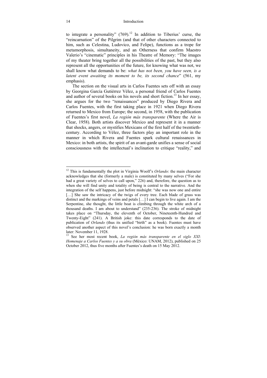to integrate a personality"  $(769)$ <sup>12</sup> In addition to Tiberius' curse, the "reincarnation" of the Pilgrim (and that of other characters connected to him, such as Celestina, Ludovico, and Felipe), functions as a trope for metamorphosis, simultaneity, and an Otherness that confirm Maestro Valerio's "cinematic" principles in his Theatre of Memory: "The images of my theater bring together all the possibilities of the past, but they also represent all the opportunities of the future, for knowing what was not, we shall know what demands to be: *what has not been, you have seen, is a latent event awaiting its moment to be, its second chance*" (561, my emphasis).

The section on the visual arts in Carlos Fuentes sets off with an essay by Georgina García Gutiérrez Vélez, a personal friend of Carlos Fuentes and author of several books on his novels and short fiction.<sup>13</sup> In her essay, she argues for the two "renaissances" produced by Diego Rivera and Carlos Fuentes, with the first taking place in 1921 when Diego Rivera returned to Mexico from Europe; the second, in 1958, with the publication of Fuentes's first novel, *La regiόn más transparente* (Where the Air is Clear, 1958). Both artists discover Mexico and represent it in a manner that shocks, angers, or mystifies Mexicans of the first half of the twentiethcentury. According to Vélez, three factors play an important role in the manner in which Rivera and Fuentes spark cultural renaissances in Mexico: in both artists, the spirit of an avant-garde unifies a sense of social consciousness with the intellectual's inclination to critique "reality," and

<sup>&</sup>lt;sup>12</sup> This is fundamentally the plot in Virginia Woolf's *Orlando*: the main character acknowledges that she (formerly a male) is constituted by many selves ("For she had a great variety of selves to call upon," 226) and, therefore, the question as to when she will find unity and totality of being is central to the narrative. And the integration of the self happens, just before midnight: "she was now one and entire [...] She saw the intricacy of the twigs of every tree. Each blade of grass was distinct and the markings of veins and petals […] I can begin to live again. I am the Serpentine, she thought, the little boat is climbing through the white arch of a thousand deaths. I am about to understand" (235-236). The stroke of midnight takes place on "Thursday, the eleventh of October, Nineteenth-Hundred and Twenty-Eight" (241). A British joke: this date corresponds to the date of publication of *Orlando* (thus its unified "birth" as a book). Fuentes must have observed another aspect of this novel's conclusion: he was born exactly a month later: November 11, 1928.

<sup>13</sup> See her most recent book, *La regiόn más transparente en el siglo XXI*: *Homenaje a Carlos Fuentes y a su obra* (México: UNAM, 2012), published on 25 October 2012, thus five months after Fuentes's death on 15 May 2012.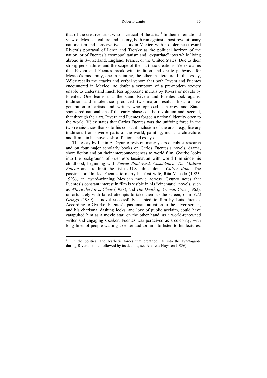that of the creative artist who is critical of the arts.<sup>14</sup> In their international view of Mexican culture and history, both run against a post-revolutionary nationalism and conservative sectors in Mexico with no tolerance toward Rivera's portrayal of Lenin and Trotsky as the political horizon of the nation, or of Fuentes's cosmopolitanism and "expatriate" joys while living abroad in Switzerland, England, France, or the United States. Due to their strong personalities and the scope of their artistic creations, Vélez claims that Rivera and Fuentes break with tradition and create pathways for Mexico's modernity, one in painting, the other in literature. In this essay, Vélez recalls the attacks and verbal venom that both Rivera and Fuentes encountered in Mexico, no doubt a symptom of a pre-modern society unable to understand much less appreciate murals by Rivera or novels by Fuentes. One learns that the stand Rivera and Fuentes took against tradition and intolerance produced two major results: first, a new generation of artists and writers who opposed a narrow and Statesponsored nationalism of the early phases of the revolution and, second, that through their art, Rivera and Fuentes forged a national identity open to the world. Vélez states that Carlos Fuentes was the unifying force in the two renaissances thanks to his constant inclusion of the arts—e.g., literary traditions from diverse parts of the world, painting, music, architecture, and film—in his novels, short fiction, and essays.

The essay by Lanin A. Gyurko rests on many years of robust research and on four major scholarly books on Carlos Fuentes's novels, drama, short fiction and on their interconnectedness to world film. Gyurko looks into the background of Fuentes's fascination with world film since his childhood, beginning with *Sunset Boulevard*, *Casablanca*, *The Maltese Falcon* and—to limit the list to U.S. films alone—*Citizen Kane*. The passion for film led Fuentes to marry his first wife, Rita Macedo (1925- 1993), an award-winning Mexican movie actress. Gyurko notes that Fuentes's constant interest in film is visible in his "cinematic" novels, such as *Where the Air is Clear* (1958), and *The Death of Artemio Cruz* (1962), unfortunately with failed attempts to take them to the screen; or in *Old Gringo* (1989), a novel successfully adapted to film by Luis Puenzo. According to Gyurko, Fuentes's passionate attention to the silver screen, and his charisma, dashing looks, and love of public acclaim, could have catapulted him as a movie star; on the other hand, as a world-renowned writer and engaging speaker, Fuentes was perceived as a celebrity, with long lines of people waiting to enter auditoriums to listen to his lectures.

 $\overline{a}$ 

 $14$  On the political and aesthetic forces that breathed life into the avant-garde during Rivera's time, followed by its decline, see Andreas Huyssen (1986).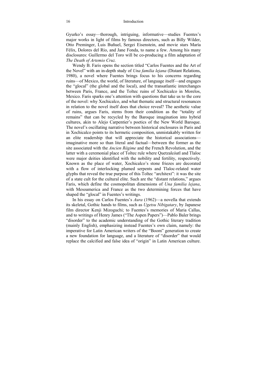Gyurko's essay—thorough, intriguing, informative—studies Fuentes's major works in light of films by famous directors, such as Billy Wilder, Otto Preminger, Luis Buñuel, Sergei Eisenstein, and movie stars María Félix, Dolores del Río, and Jane Fonda, to name a few. Among his many disclosures: Guillermo del Toro will be co-producing a film adaptation of *The Death of Artemio Cruz.* 

Wendy B. Faris opens the section titled "Carlos Fuentes and the Art of the Novel" with an in-depth study of *Una familia lejana* (Distant Relations, 1980), a novel where Fuentes brings focus to his concerns regarding ruins—of Mexico, the world, of literature, of language itself—and engages the "glocal" (the global and the local), and the transatlantic interchanges between Paris, France, and the Toltec ruins of Xochicalco in Morelos, Mexico. Faris sparks one's attention with questions that take us to the core of the novel: why Xochicalco, and what thematic and structural resonances in relation to the novel itself does that choice reveal? The aesthetic value of ruins, argues Faris, stems from their condition as the "totality of remains" that can be recycled by the Baroque imagination into hybrid cultures, akin to Alejo Carpentier's poetics of the New World Baroque. The novel's oscillating narrative between historical enclosures in Paris and in Xochicalco points to its hermetic composition, unmistakably written for an elite readership that will appreciate the historical associations imaginative more so than literal and factual—between the former as the site associated with the *Ancien Régime* and the French Revolution, and the latter with a ceremonial place of Toltec rule where Quetzalcόatl and Tlaloc were major deities identified with the nobility and fertility, respectively. Known as the place of water, Xochicalco's stone friezes are decorated with a flow of interlocking plumed serpents and Tlaloc-related water glyphs that reveal the true purpose of this Toltec "architext": it was the site of a state cult for the cultural elite. Such are the "distant relations," argues Faris, which define the cosmopolitan dimensions of *Una familia lejana*, with Mesoamerica and France as the two determining forces that have shaped the "glocal" in Fuentes's writings.

In his essay on Carlos Fuentes's *Aura* (1962)—a novella that extends its skeletal, Gothic hands to films, such as *Ugetsu Nibigatary*, by Japanese film director Kenji Mizoguchi; to Fuentes's memories of Maria Callas, and to writings of Henry James ("The Aspen Papers")—Pablo Baler brings "disorder" to the academic understanding of the Gothic literary tradition (mainly English), emphasizing instead Fuentes's own claim, namely: the imperative for Latin American writers of the "Boom" generation to create a new foundation for language, and a literature of "disorder" that would replace the calcified and false idea of "origin" in Latin American culture.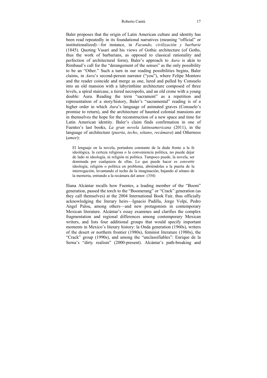Baler proposes that the origin of Latin American culture and identity has been read repeatedly in its foundational narratives (meaning "official" or institutionalized)—for instance, in *Facundo, civilizaciόn y barbarie* (1845). Quoting Vasari and his views of Gothic architecture (of Goths, thus the work of barbarians, as opposed to classical rationality and perfection of architectural form), Baler's approach to *Aura* is akin to Rimbaud's call for the "derangement of the senses" as the only possibility to be an "Other." Such a turn in our reading possibilities begins, Baler claims, in *Aura*'s second-person narrator ("you"), where Felipe Montero and the reader coincide and merge as one, lured and pulled by Consuelo into an old mansion with a labyrinthine architecture composed of three levels, a spiral staircase, a tiered necropolis, and an old crone with a young double: Aura. Reading the term "sacrament" as a repetition and representation of a story/history, Baler's "sacramental" reading is of a higher order in which *Aura*'s language of animated graves (Consuelo's promise to return), and the architecture of haunted colonial mansions are in themselves the hope for the reconstruction of a new space and time for Latin American identity. Baler's claim finds confirmation in one of Fuentes's last books, *La gran novela latinoamericana* (2011), in the language of architecture (*puerta*, *techo*, *sόtano*, *recámara*) and Otherness (*amor*):

El lenguaje en la novela, portadora constante de la duda frente a la fe ideolόgica, la certeza religiosa o la conveniencia política, no puede dejar de lado ni ideología, ni religiόn ni política. Tampoco puede, la novela, ser dominada por cualquiera de ellas. Lo que puede hacer es convertir ideología, religiόn o política en problema, abriéndolas a la puerta de la interrogaciόn, levantando el techo de la imaginaciόn, bajando al sόtano de la memoria, entrando a la recámara del amor. (354)

Iliana Alcántar recalls how Fuentes, a leading member of the "Boom" generation, passed the torch to the "Boomerang" or "Crack" generation (as they call themselves) at the 2004 International Book Fair, thus officially acknowledging the literary heirs—Ignacio Padilla, Jorge Volpi, Pedro Angel Palou, among others—and new protagonists in contemporary Mexican literature. Alcántar's essay examines and clarifies the complex fragmentation and regional differences among contemporary Mexican writers, and lists four additional groups that would specify important moments in Mexico's literary history: la Onda generation (1960s), writers of the desert or northern frontier (1980s), feminist literature (1980s), the "Crack" group (1990s), and among the "unclassifiables": Enrique de la Serna's "dirty realism" (2000-present). Alcántar's path-breaking and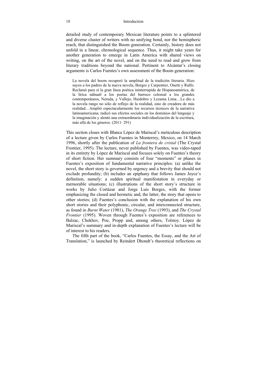detailed study of contemporary Mexican literature points to a splintered and diverse cluster of writers with no unifying bond, nor the hemispheric reach, that distinguished the Boom generation. Certainly, history does not unfold in a linear, chronological sequence. Thus, it might take years for another generation to emerge in Latin America with shared views on writing, on the art of the novel, and on the need to read and grow from literary traditions beyond the national. Pertinent to Alcántar's closing arguments is Carlos Fuentes's own assessment of the Boom generation:

La novela del boom recuperó la amplitud de la tradición literaria. Hizo suyos a los padres de la nueva novela, Borges y Carpentier, Onetti y Rulfo. Reclamó para sí la gran línea poética ininterrupida de Hispanoamérica, de la lírica náhuatl a los poetas del barroco colonial a los grandes contemporáneos, Neruda, y Vallejo, Huidobro y Lezama Lima…Le dio a la novela rango no sólo de reflejo de la realidad, sino de creadora de más realidad…Amplió espectacularmente los recursos técnicos de la narrativa latinoamericana; radicó sus efectos sociales en los dominios del lenguaje y la imaginación y alentó una extraordinaria individualización de la escritura, más allá de los géneros. (2011: 291)

This section closes with Blanca Lόpez de Mariscal's meticulous description of a lecture given by Carlos Fuentes in Monterrey, Mexico, on 14 March 1996, shortly after the publication of *La frontera de cristal* (The Crystal Frontier, 1995). The lecture, never published by Fuentes, was video-taped in its entirety by Lόpez de Mariscal and focuses solely on Fuentes's theory of short fiction. Her summary consists of four "moments" or phases in Fuentes's exposition of fundamental narrative principles: (a) unlike the novel, the short story is governed by urgency and a brevity that should not exclude profundity; (b) includes an epiphany that follows James Joyce's definition, namely: a sudden spiritual manifestation in everyday or memorable situations; (c) illustrations of the short story's structure in works by Julio Cortázar and Jorge Luis Borges, with the former emphasizing the closed and hermetic and, the latter, the story that opens to other stories; (d) Fuentes's conclusion with the explanation of his own short stories and their polyphonic, circular, and interconnected structure, as found in *Burnt Water* (1981), *The Orange Tree* (1993), and *The Crystal Frontier* (1995). Woven through Fuentes's exposition are references to Balzac, Chekhov, Poe, Propp and, among others, Tolstoy. Lόpez de Mariscal's summary and in-depth explanation of Fuentes's lecture will be of interest to his readers.

The fifth part of the book, "Carlos Fuentes, the Essay, and the Art of Translation," is launched by Reindert Dhondt's theoretical reflections on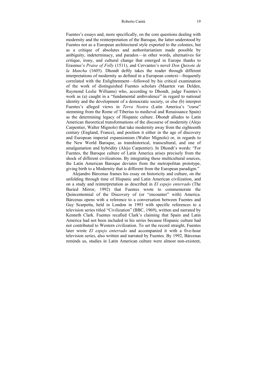Fuentes's essays and, more specifically, on the core questions dealing with modernity and the reinterpretation of the Baroque, the latter understood by Fuentes not as a European architectural style exported to the colonies, but as a critique of absolutes and authoritarianism made possible by ambiguity, indeterminacy, and paradox—in other words, alternatives for critique, irony, and cultural change that emerged in Europe thanks to Erasmus's *Praise of Folly* (1511), and Cervantes's novel *Don Quixote de la Mancha* (1605). Dhondt deftly takes the reader through different interpretations of modernity as defined in a European context—frequently correlated with the Enlightenment—followed by his critical examination of the work of distinguished Fuentes scholars (Maarten van Delden, Raymond Leslie Williams) who, according to Dhondt, judge Fuentes's work as (a) caught in a "fundamental ambivalence" in regard to national identity and the development of a democratic society, or else (b) interpret Fuentes's alleged views in *Terra Nostra* (Latin America's "curse" stemming from the Rome of Tiberius to medieval and Renaissance Spain) as the determining legacy of Hispanic culture. Dhondt alludes to Latin American theoretical transformations of the discourse of modernity (Alejo Carpentier, Walter Mignolo) that take modernity away from the eighteenth century (England, France), and position it either in the age of discovery and European imperial expansionism (Walter Mignolo) or, in regards to the New World Baroque, as transhistorical, transcultural, and one of amalgamation and hybridity (Alejo Carpentier). In Dhondt's words: "For Fuentes, the Baroque culture of Latin America arises precisely from the shock of different civilizations. By integrating these multicultural sources, the Latin American Baroque deviates from the metropolitan prototype, giving birth to a Modernity that is different from the European paradigm."

Alejandro Bárcenas frames his essay on historicity and culture, on the unfolding through time of Hispanic and Latin American civilization, and on a study and reinterpretation as described in *El espejo enterrado* (The Buried Mirror, 1992) that Fuentes wrote to commemorate the Quincentennial of the Discovery of (or "encounter" with) America. Bárcenas opens with a reference to a conversation between Fuentes and Guy Scarpetta, held in London in 1993 with specific references to a television series titled "Civilization" (BBC, 1969), written and narrated by Kenneth Clark. Fuentes recalled Clark's claiming that Spain and Latin America had not been included in his series because Hispanic culture had not contributed to Western civilization. To set the record straight, Fuentes later wrote *El espejo enterrado* and accompanied it with a five-hour television series, also written and narrated by Fuentes. By 1992, Bárcenas reminds us, studies in Latin American culture were almost non-existent,